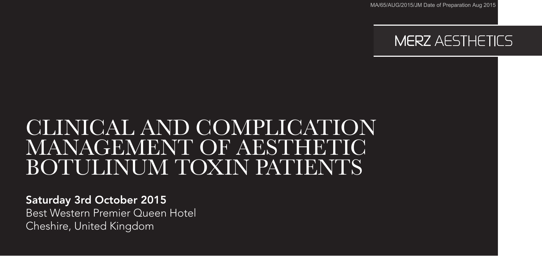MA/65/AUG/2015/JM Date of Preparation Aug 2015



# CLINICAL AND COMPLICATION MANAGEMENT OF AESTHETIC BOTULINUM TOXIN PATIENTS

Saturday 3rd October 2015

Best Western Premier Queen Hotel Cheshire, United Kingdom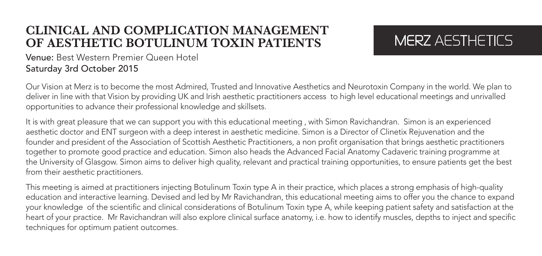#### **CLINICAL AND COMPLICATION MANAGEMENT OF AESTHETIC BOTULINUM TOXIN PATIENTS**

## MERZ AFSTHETICS

#### Venue: Best Western Premier Queen Hotel Saturday 3rd October 2015

Our Vision at Merz is to become the most Admired, Trusted and Innovative Aesthetics and Neurotoxin Company in the world. We plan to deliver in line with that Vision by providing UK and Irish aesthetic practitioners access to high level educational meetings and unrivalled opportunities to advance their professional knowledge and skillsets.

It is with great pleasure that we can support you with this educational meeting , with Simon Ravichandran. Simon is an experienced aesthetic doctor and ENT surgeon with a deep interest in aesthetic medicine. Simon is a Director of Clinetix Rejuvenation and the founder and president of the Association of Scottish Aesthetic Practitioners, a non profit organisation that brings aesthetic practitioners together to promote good practice and education. Simon also heads the Advanced Facial Anatomy Cadaveric training programme at the University of Glasgow. Simon aims to deliver high quality, relevant and practical training opportunities, to ensure patients get the best from their aesthetic practitioners.

This meeting is aimed at practitioners injecting Botulinum Toxin type A in their practice, which places a strong emphasis of high-quality education and interactive learning. Devised and led by Mr Ravichandran, this educational meeting aims to offer you the chance to expand your knowledge of the scientific and clinical considerations of Botulinum Toxin type A, while keeping patient safety and satisfaction at the heart of your practice. Mr Ravichandran will also explore clinical surface anatomy, i.e. how to identify muscles, depths to inject and specific techniques for optimum patient outcomes.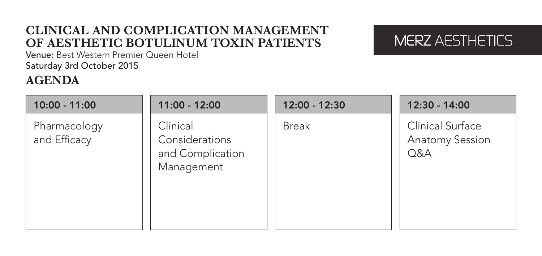### **CLINICAL AND COMPLICATION MANAGEMENT OF AESTHETIC BOTULINUM TOXIN PATIENTS**

## MERZ AFSTHETICS

Venue: Best Western Premier Queen Hotel Saturday 3rd October 2015

#### **AGENDA**

| $10:00 - 11:00$              | $11:00 - 12:00$                                              | 12:00 - 12:30 | 12:30 - 14:00                                            |
|------------------------------|--------------------------------------------------------------|---------------|----------------------------------------------------------|
| Pharmacology<br>and Efficacy | Clinical<br>Considerations<br>and Complication<br>Management | <b>Break</b>  | <b>Clinical Surface</b><br><b>Anatomy Session</b><br>Q&A |